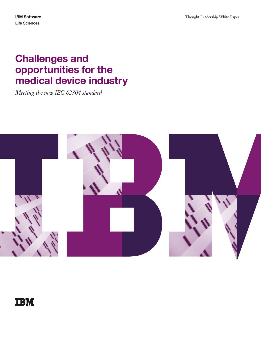# **Challenges and opportunities for the medical device industry**

*Meeting the new IEC 62304 standard*

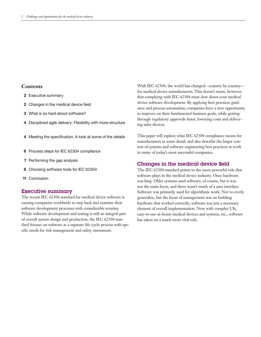## **Contents**

- **2** Executive summary
- **2** Changes in the medical device field
- **3** What is so hard about software?
- **4** Disciplined agile delivery: Flexibility with more structure
- **4** Meeting the specification: A look at some of the details
- **6** Process steps for IEC 62304 compliance
- **7** Performing the gap analysis
- **8** Choosing software tools for IEC 62304
- **11** Conclusion

#### **Executive summary**

The recent IEC 62304 standard for medical device software is causing companies worldwide to step back and examine their software development processes with considerable scrutiny. While software development and testing is still an integral part of overall system design and production, the IEC 62304 standard focuses on software as a separate life-cycle process with specific needs for risk management and safety assessment.

With IEC 62304, the world has changed—country by country for medical device manufacturers. This doesn't mean, however, that complying with IEC 62304 must slow down your medical device software development. By applying best practices guidance and process automation, companies have a new opportunity to improve on their fundamental business goals, while getting through regulatory approvals faster, lowering costs and delivering safer devices.

This paper will explore what IEC 62304 compliance means for manufacturers in some detail, and also describe the larger context of systems and software engineering best practices at work in many of today's most successful companies.

### **Changes in the medical device field**

The IEC 62304 standard points to the more powerful role that software plays in the medical device industry. Once hardware was king. Older systems used software, of course, but it was not the main focus, and there wasn't much of a user interface. Software was primarily used for algorithmic work. Not to overly generalize, but the focus of management was on building hardware that worked correctly; software was just a necessary element of overall implementation. Now with complex UIs, easy-to-use-at-home medical devices and systems, etc., software has taken on a much more vital role.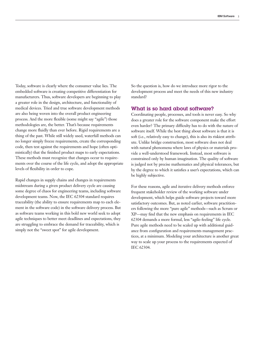Today, software is clearly where the consumer value lies. The embedded software is creating competitive differentiation for manufacturers. Thus, software developers are beginning to play a greater role in the design, architecture, and functionality of medical devices. Tried and true software development methods are also being woven into the overall product engineering process. And the more flexible (some might say "agile") those methodologies are, the better. That's because requirements change more fluidly than ever before. Rigid requirements are a thing of the past. While still widely used, waterfall methods can no longer simply freeze requirements, create the corresponding code, then test against the requirements and hope (often optimistically) that the finished product maps to early expectations. These methods must recognize that changes occur to requirements over the course of the life cycle, and adopt the appropriate levels of flexibility in order to cope.

Rapid changes in supply chains and changes in requirements midstream during a given product delivery cycle are causing some degree of chaos for engineering teams, including software development teams. Now, the IEC 62304 standard requires traceability (the ability to ensure requirements map to each element in the software code) in the software delivery process. But as software teams working in this bold new world seek to adopt agile techniques to better meet deadlines and expectations, they are struggling to embrace the demand for traceability, which is simply not the "sweet spot" for agile development.

So the question is, how do we introduce more rigor to the development process and meet the needs of this new industry standard?

## **What is so hard about software?**

Coordinating people, processes, and tools is never easy. So why does a greater role for the software component make the effort even harder? The primary difficulty has to do with the nature of software itself. While the best thing about software is that it is soft (i.e., relatively easy to change), this is also its riskiest attribute. Unlike bridge construction, most software does not deal with natural phenomena where laws of physics or materials provide a well-understood framework. Instead, most software is constrained only by human imagination. The quality of software is judged not by precise mathematics and physical tolerances, but by the degree to which it satisfies a user's expectations, which can be highly subjective.

For these reasons, agile and iterative delivery methods enforce frequent stakeholder review of the working software under development, which helps guide software projects toward more satisfactory outcomes. But, as noted earlier, software practitioners following the more "pure agile" methods—such as Scrum or XP—may find that the new emphasis on requirements in IEC 62304 demands a more formal, less "agile-feeling" life cycle. Pure agile methods need to be scaled up with additional guidance from configuration and requirements management practices, at a minimum. Modeling your architecture is another great way to scale up your process to the requirements expected of IEC 62304.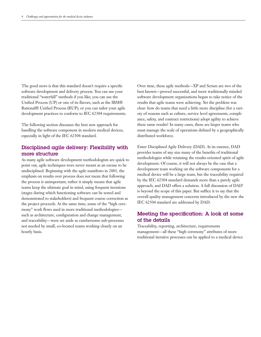The good news is that this standard doesn't require a specific software development and delivery process. You can use your traditional "waterfall" methods if you like; you can use the Unified Process (UP) or one of its flavors, such as the IBM® Rational® Unified Process (RUP); or you can tailor your agile development practices to conform to IEC 62304 requirements.

The following section discusses the best new approach for handling the software component in modern medical devices, especially in light of the IEC 62304 standard.

# **Disciplined agile delivery: Flexibility with more structure**

As many agile software development methodologists are quick to point out, agile techniques were never meant as an excuse to be undisciplined. Beginning with the agile manifesto in 2001, the emphasis on results over process does not mean that following the process is unimportant; rather it simply means that agile teams keep the ultimate goal in mind, using frequent iterations (stages during which functioning software can be tested and demonstrated to stakeholders) and frequent course correction as the project proceeds. At the same time, some of the "high ceremony" work flows used in more traditional methodologies such as architecture, configuration and change management, and traceability—were set aside as cumbersome sub-processes not needed by small, co-located teams working closely on an hourly basis.

Over time, these agile methods—XP and Scrum are two of the best known—proved successful, and more traditionally minded software development organizations began to take notice of the results that agile teams were achieving. Yet the problem was clear: how do teams that need a little more discipline (for a variety of reasons such as culture, service level agreements, compliance, safety, and contract restrictions) adopt agility to achieve these same results? In many cases, these are larger teams who must manage the scale of operations defined by a geographically distributed workforce.

Enter Disciplined Agile Delivery (DAD). At its essence, DAD provides teams of any size many of the benefits of traditional methodologies while retaining the results-oriented spirit of agile development. Of course, it will not always be the case that a development team working on the software components for a medical device will be a large team, but the traceability required by the IEC 62304 standard demands more than a purely agile approach, and DAD offers a solution. A full discussion of DAD<sup>1</sup> is beyond the scope of this paper. But suffice it to say that the overall quality management concerns introduced by the new the IEC 62304 standard are addressed by DAD.

# **Meeting the specification: A look at some of the details**

Traceability, reporting, architecture, requirements management—all these "high ceremony" attributes of more traditional iterative processes can be applied to a medical device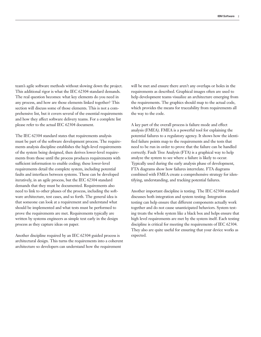team's agile software methods without slowing down the project. This additional rigor is what the IEC 62304 standard demands. The real question becomes: what key elements do you need in any process, and how are those elements linked together? This section will discuss some of those elements. This is not a comprehensive list, but it covers several of the essential requirements and how they affect software delivery teams. For a complete list please refer to the actual IEC 62304 document.

The IEC 62304 standard states that requirements analysis must be part of the software development process. The requirements analysis discipline establishes the high-level requirements of the system being designed, then derives lower-level requirements from those until the process produces requirements with sufficient information to enable coding; these lower-level requirements detail the complete system, including potential faults and interfaces between systems. These can be developed iteratively, in an agile process, but the IEC 62304 standard demands that they must be documented. Requirements also need to link to other phases of the process, including the software architecture, test cases, and so forth. The general idea is that someone can look at a requirement and understand what should be implemented and what tests must be performed to prove the requirements are met. Requirements typically are written by systems engineers as simple text early in the design process as they capture ideas on paper.

Another discipline required by an IEC 62304 guided process is architectural design. This turns the requirements into a coherent architecture so developers can understand how the requirement

will be met and ensure there aren't any overlaps or holes in the requirements as described. Graphical images often are used to help development teams visualize an architecture emerging from the requirements. The graphics should map to the actual code, which provides the means for traceability from requirements all the way to the code.

A key part of the overall process is failure mode and effect analysis (FMEA). FMEA is a powerful tool for explaining the potential failures to a regulatory agency. It shows how the identified failure points map to the requirements and the tests that need to be run in order to prove that the failure can be handled correctly. Fault Tree Analysis (FTA) is a graphical way to help analyze the system to see where a failure is likely to occur. Typically used during the early analysis phase of development, FTA diagrams show how failures interrelate. FTA diagrams combined with FMEA create a comprehensive strategy for identifying, understanding, and tracking potential failures.

Another important discipline is testing. The IEC 62304 standard discusses both integration and system testing. Integration testing can help ensure that different components actually work together and do not cause unanticipated behaviors. System testing treats the whole system like a black box and helps ensure that high level requirements are met by the system itself. Each testing discipline is critical for meeting the requirements of IEC 62304. They also are quite useful for ensuring that your device works as expected.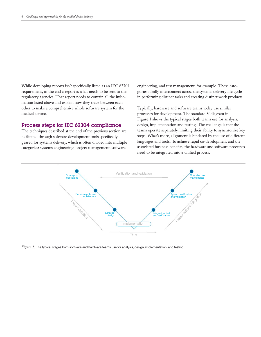While developing reports isn't specifically listed as an IEC 62304 requirement, in the end a report is what needs to be sent to the regulatory agencies. That report needs to contain all the information listed above and explain how they trace between each other to make a comprehensive whole software system for the medical device.

## **Process steps for IEC 62304 compliance**

The techniques described at the end of the previous section are facilitated through software development tools specifically geared for systems delivery, which is often divided into multiple categories: systems engineering, project management, software

engineering, and test management, for example. These categories ideally interconnect across the systems delivery life cycle in performing distinct tasks and creating distinct work products.

Typically, hardware and software teams today use similar processes for development. The standard V diagram in Figure 1 shows the typical stages both teams use for analysis, design, implementation and testing. The challenge is that the teams operate separately, limiting their ability to synchronize key steps. What's more, alignment is hindered by the use of different languages and tools. To achieve rapid co-development and the associated business benefits, the hardware and software processes need to be integrated into a unified process.



*Figure 1:* The typical stages both software and hardware teams use for analysis, design, implementation, and testing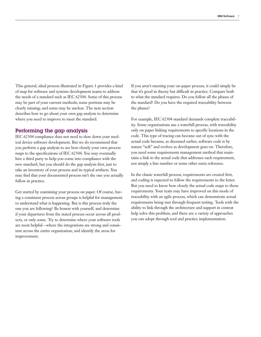This general, ideal process illustrated in Figure 1 provides a kind of map for software and systems development teams to address the needs of a standard such as IEC 62304. Some of this process may be part of your current methods; some portions may be clearly missing; and some may be unclear. The next section describes how to go about your own gap analysis to determine where you need to improve to meet the standard.

### **Performing the gap analysis**

IEC 62304 compliance does not need to slow down your medical device software development. But we do recommend that you perform a gap analysis to see how closely your own process maps to the specifications of IEC 62304. You may eventually hire a third party to help you come into compliance with the new standard, but you should do the gap analysis first, just to take an inventory of your process and its typical artifacts. You may find that your documented process isn't the one you actually follow in practice.

Get started by examining your process on paper. Of course, having a consistent process across groups is helpful for management to understand what is happening. But is this process truly the one you are following? Be honest with yourself, and determine if your departures from the stated process occur across all products, or only some. Try to determine where your software tools are most helpful—where the integrations are strong and consistent across the entire organization; and identify the areas for improvement.

If you aren't meeting your on-paper process, it could simply be that it's good in theory but difficult in practice. Compare both to what the standard requires. Do you follow all the phases of the standard? Do you have the required traceability between the phases?

For example, IEC 62304 standard demands complete traceability. Some organizations use a waterfall process, with traceability only on paper linking requirements to specific locations in the code. This type of tracing can become out of sync with the actual code because, as discussed earlier, software code is by nature "soft" and evolves as development goes on. Therefore, you need some requirements management method that maintains a link to the actual code that addresses each requirement, not simply a line number or some other meta reference.

In the classic waterfall process, requirements are created first, and coding is expected to follow the requirements to the letter. But you need to know how closely the actual code maps to those requirements. Your team may have improved on this mode of traceability with an agile process, which can demonstrate actual requirements being met through frequent testing. Tools with the ability to link through the architecture and support in context help solve this problem, and there are a variety of approaches you can adopt through tool and practice implementation.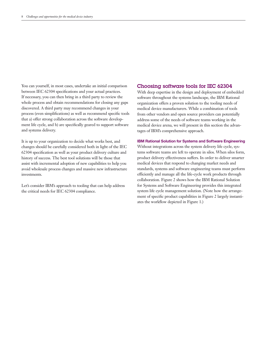You can yourself, in most cases, undertake an initial comparison between IEC 62304 specifications and your actual practices. If necessary, you can then bring in a third party to review the whole process and obtain recommendations for closing any gaps discovered. A third party may recommend changes in your process (even simplifications) as well as recommend specific tools that a) offer strong collaboration across the software development life cycle, and b) are specifically geared to support software and systems delivery.

It is up to your organization to decide what works best, and changes should be carefully considered both in light of the IEC 62304 specification as well as your product delivery culture and history of success. The best tool solutions will be those that assist with incremental adoption of new capabilities to help you avoid wholesale process changes and massive new infrastructure investments.

Let's consider IBM's approach to tooling that can help address the critical needs for IEC 62304 compliance.

#### **Choosing software tools for IEC 62304**

With deep expertise in the design and deployment of embedded software throughout the systems landscape, the IBM Rational organization offers a proven solution to the tooling needs of medical device manufacturers. While a combination of tools from other vendors and open source providers can potentially address some of the needs of software teams working in the medical device arena, we will present in this section the advantages of IBM's comprehensive approach.

#### **IBM Rational Solution for Systems and Software Engineering**

Without integrations across the system delivery life cycle, systems software teams are left to operate in silos. When silos form, product delivery effectiveness suffers. In order to deliver smarter medical devices that respond to changing market needs and standards, systems and software engineering teams must perform efficiently and manage all the life-cycle work products through collaboration. Figure 2 shows how the IBM Rational Solution for Systems and Software Engineering provides this integrated system life cycle management solution. (Note how the arrangement of specific product capabilities in Figure 2 largely instantiates the workflow depicted in Figure 1.)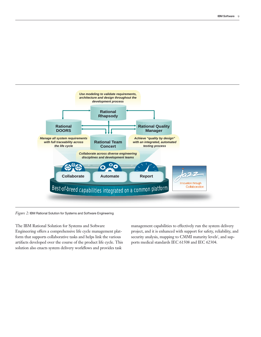

*Figure 2:* IBM Rational Solution for Systems and Software Engineering

The IBM Rational Solution for Systems and Software Engineering offers a comprehensive life cycle management plat form that supports collaborative tasks and helps link the various artifacts developed over the course of the product life cycle. Thi s solution also enacts system delivery workflows and provides task

management capabilities to effectively run the system delivery project, and it is enhanced with support for safety, reliability, and security analysis, mapping to CMMI maturity levels<sup>2</sup>, and supports medical standards IEC 61508 and IEC 62304.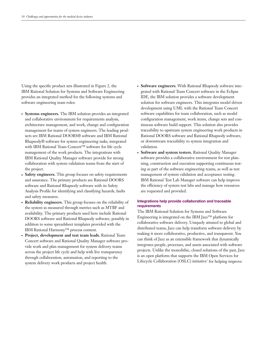Using the specific product sets illustrated in Figure 2, the IBM Rational Solution for Systems and Software Engineering provides an integrated method for the following systems and software engineering team roles:

- **Systems engineers.** The IBM solution provides an integrated and collaborative environment for requirements analysis, architecture management, and work, change and configuration management for teams of system engineers. The leading products are IBM Rational DOORS® software and IBM Rational Rhapsody® software for system engineering tasks, integrated with IBM Rational Team Concert™ software for life cycle management of the work products. The integrations with IBM Rational Quality Manager software provide for strong collaboration with system validation teams from the start of the project.
- **Safety engineers.** This group focuses on safety requirements and assurance. The primary products are Rational DOORS software and Rational Rhapsody software with its Safety Analysis Profile for identifying and classifying hazards, faults and safety measures.
- **Reliability engineers.** This group focuses on the reliability of the system as measured through metrics such as MTBF and availability. The primary products used here include Rational DOORS software and Rational Rhapsody software, possibly in addition to some spreadsheet templates provided with the IBM Rational Harmony™ process content.
- Project, development and test team leads. Rational Team Concert software and Rational Quality Manager software provide work and plan management for system delivery teams across the project life cycle and help with live transparency through collaboration, automation, and reporting to the system delivery work products and project health.
- **Software engineers.** With Rational Rhapsody software integrated with Rational Team Concert software in the Eclipse IDE, the IBM solution provides a software development solution for software engineers. This integrates model driven development using UML with the Rational Team Concert software capabilities for team collaboration, such as model configuration management, work items, change sets and continuous software build support. This solution also provides traceability to upstream system engineering work products in Rational DOORS software and Rational Rhapsody software, or downstream traceability to system integration and validation.
- **Software and system testers.** Rational Quality Manager software provides a collaborative environment for test planning, construction and execution supporting continuous testing as part of the software engineering teams, as well as test management of system validation and acceptance testing. IBM Rational Test Lab Manager software can help improve the efficiency of system test labs and manage how resources are requested and provided.

#### **Integrations help provide collaboration and traceable requirements**

The IBM Rational Solution for Systems and Software Engineering is integrated on the IBM Jazz™ platform for collaborative software delivery. Uniquely attuned to global and distributed teams, Jazz can help transform software delivery by making it more collaborative, productive, and transparent. You can think of Jazz as an extensible framework that dynamically integrates people, processes, and assets associated with software projects. Unlike the monolithic, closed solutions of the past, Jazz is an open platform that supports the IBM Open Services for Lifecycle Collaboration (OSLC) initiative<sup>3</sup> for helping improve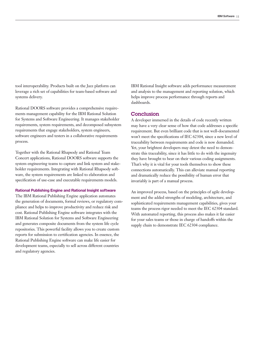tool interoperability. Products built on the Jazz platform can leverage a rich set of capabilities for team-based software and systems delivery.

Rational DOORS software provides a comprehensive requirements management capability for the IBM Rational Solution for Systems and Software Engineering. It manages stakeholder requirements, system requirements, and decomposed subsystem requirements that engage stakeholders, system engineers, software engineers and testers in a collaborative requirements process.

Together with the Rational Rhapsody and Rational Team Concert applications, Rational DOORS software supports the system engineering teams to capture and link system and stakeholder requirements. Integrating with Rational Rhapsody software, the system requirements are linked to elaboration and specification of use-case and executable requirements models.

#### **Rational Publishing Engine and Rational Insight software**

The IBM Rational Publishing Engine application automates the generation of documents, formal reviews, or regulatory compliance and helps to improve productivity and reduce risk and cost. Rational Publishing Engine software integrates with the IBM Rational Solution for Systems and Software Engineering and generates composite documents from the system life cycle repositories. This powerful facility allows you to create custom reports for submission to certification agencies. In essence, the Rational Publishing Engine software can make life easier for development teams, especially to sell across different countries and regulatory agencies.

IBM Rational Insight software adds performance measurement and analysis to the management and reporting solution, which helps improve process performance through reports and dashboards.

#### **Conclusion**

A developer immersed in the details of code recently written may have a very clear sense of how that code addresses a specific requirement. But even brilliant code that is not well-documented won't meet the specifications of IEC 62304, since a new level of traceability between requirements and code is now demanded. Yet, your brightest developers may detest the need to demonstrate this traceability, since it has little to do with the ingenuity they have brought to bear on their various coding assignments. That's why it is vital for your tools themselves to show these connections automatically. This can alleviate manual reporting and dramatically reduce the possibility of human error that invariably is part of a manual process.

An improved process, based on the principles of agile development and the added strengths of modeling, architecture, and sophisticated requirements management capabilities, gives your teams the process rigor needed to meet the IEC 62304 standard. With automated reporting, this process also makes it far easier for your sales teams or those in charge of handoffs within the supply chain to demonstrate IEC 62304 compliance.